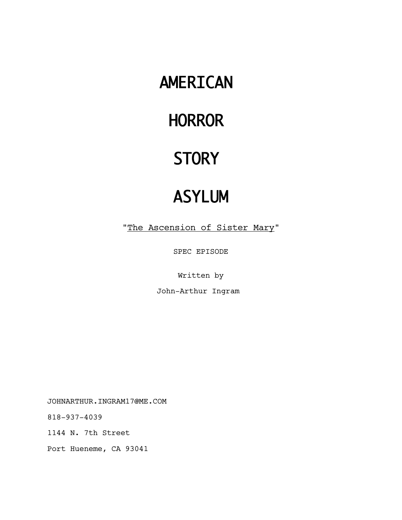# AMERICAN

# **HORROR**

# **STORY**

# ASYLUM

"The Ascension of Sister Mary"

SPEC EPISODE

Written by

John-Arthur Ingram

JOHNARTHUR.INGRAM17@ME.COM

818-937-4039

1144 N. 7th Street

Port Hueneme, CA 93041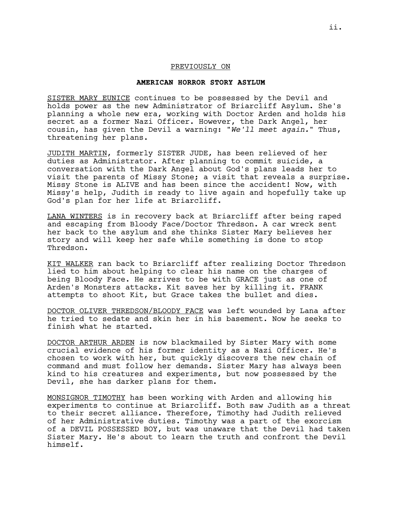#### PREVIOUSLY ON

## **AMERICAN HORROR STORY ASYLUM**

SISTER MARY EUNICE continues to be possessed by the Devil and holds power as the new Administrator of Briarcliff Asylum. She's planning a whole new era, working with Doctor Arden and holds his secret as a former Nazi Officer. However, the Dark Angel, her cousin, has given the Devil a warning: "*We'll meet again.*" Thus, threatening her plans.

JUDITH MARTIN, formerly SISTER JUDE, has been relieved of her duties as Administrator. After planning to commit suicide, a conversation with the Dark Angel about God's plans leads her to visit the parents of Missy Stone; a visit that reveals a surprise. Missy Stone is ALIVE and has been since the accident! Now, with Missy's help, Judith is ready to live again and hopefully take up God's plan for her life at Briarcliff.

LANA WINTERS is in recovery back at Briarcliff after being raped and escaping from Bloody Face/Doctor Thredson. A car wreck sent her back to the asylum and she thinks Sister Mary believes her story and will keep her safe while something is done to stop Thredson.

KIT WALKER ran back to Briarcliff after realizing Doctor Thredson lied to him about helping to clear his name on the charges of being Bloody Face. He arrives to be with GRACE just as one of Arden's Monsters attacks. Kit saves her by killing it. FRANK attempts to shoot Kit, but Grace takes the bullet and dies.

DOCTOR OLIVER THREDSON/BLOODY FACE was left wounded by Lana after he tried to sedate and skin her in his basement. Now he seeks to finish what he started.

DOCTOR ARTHUR ARDEN is now blackmailed by Sister Mary with some crucial evidence of his former identity as a Nazi Officer. He's chosen to work with her, but quickly discovers the new chain of command and must follow her demands. Sister Mary has always been kind to his creatures and experiments, but now possessed by the Devil, she has darker plans for them.

MONSIGNOR TIMOTHY has been working with Arden and allowing his experiments to continue at Briarcliff. Both saw Judith as a threat to their secret alliance. Therefore, Timothy had Judith relieved of her Administrative duties. Timothy was a part of the exorcism of a DEVIL POSSESSED BOY, but was unaware that the Devil had taken Sister Mary. He's about to learn the truth and confront the Devil himself.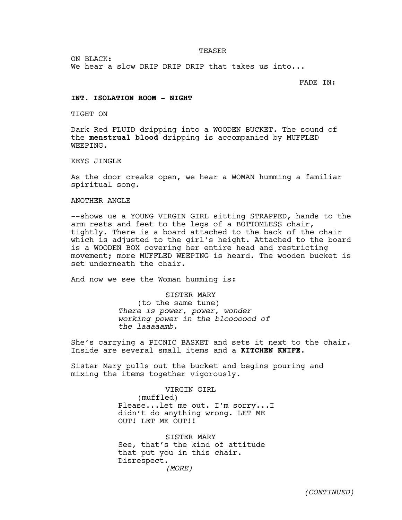TEASER

ON BLACK:

We hear a slow DRIP DRIP DRIP that takes us into...

FADE IN:

#### **INT. ISOLATION ROOM - NIGHT**

TIGHT ON

Dark Red FLUID dripping into a WOODEN BUCKET. The sound of the **menstrual blood** dripping is accompanied by MUFFLED WEEPING.

KEYS JINGLE

As the door creaks open, we hear a WOMAN humming a familiar spiritual song.

# ANOTHER ANGLE

--shows us a YOUNG VIRGIN GIRL sitting STRAPPED, hands to the arm rests and feet to the legs of a BOTTOMLESS chair, tightly. There is a board attached to the back of the chair which is adjusted to the girl's height. Attached to the board is a WOODEN BOX covering her entire head and restricting movement; more MUFFLED WEEPING is heard. The wooden bucket is set underneath the chair.

And now we see the Woman humming is:

SISTER MARY (to the same tune) *There is power, power, wonder working power in the blooooood of the laaaaamb.* 

She's carrying a PICNIC BASKET and sets it next to the chair. Inside are several small items and a **KITCHEN KNIFE.**

Sister Mary pulls out the bucket and begins pouring and mixing the items together vigorously.

> VIRGIN GIRL (muffled) Please...let me out. I'm sorry...I didn't do anything wrong. LET ME OUT! LET ME OUT!!

SISTER MARY See, that's the kind of attitude that put you in this chair. Disrespect. *(MORE)*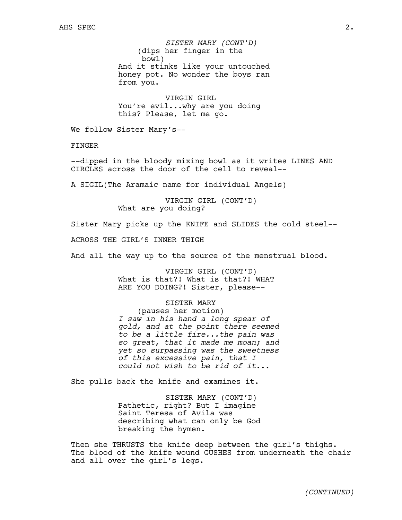(dips her finger in the bowl) And it stinks like your untouched honey pot. No wonder the boys ran from you. *SISTER MARY (CONT'D)*

VIRGIN GIRL You're evil...why are you doing this? Please, let me go.

We follow Sister Mary's--

FINGER

--dipped in the bloody mixing bowl as it writes LINES AND CIRCLES across the door of the cell to reveal--

A SIGIL(The Aramaic name for individual Angels)

VIRGIN GIRL (CONT'D) What are you doing?

Sister Mary picks up the KNIFE and SLIDES the cold steel--

ACROSS THE GIRL'S INNER THIGH

And all the way up to the source of the menstrual blood.

VIRGIN GIRL (CONT'D) What is that?! What is that?! WHAT ARE YOU DOING?! Sister, please--

## SISTER MARY

(pauses her motion) *I saw in his hand a long spear of gold, and at the point there seemed to be a little fire...the pain was so great, that it made me moan; and yet so surpassing was the sweetness of this excessive pain, that I could not wish to be rid of it...*

She pulls back the knife and examines it.

SISTER MARY (CONT'D) Pathetic, right? But I imagine Saint Teresa of Avila was describing what can only be God breaking the hymen.

Then she THRUSTS the knife deep between the girl's thighs. The blood of the knife wound GUSHES from underneath the chair and all over the girl's legs.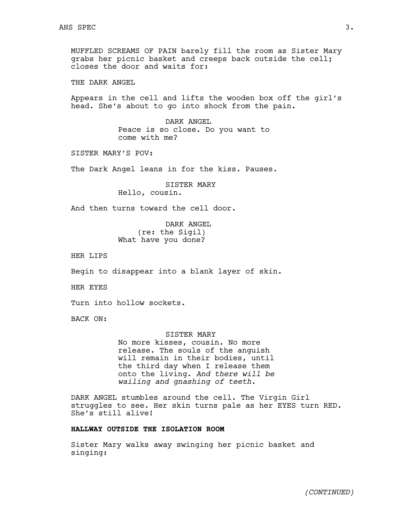MUFFLED SCREAMS OF PAIN barely fill the room as Sister Mary grabs her picnic basket and creeps back outside the cell; closes the door and waits for:

THE DARK ANGEL

Appears in the cell and lifts the wooden box off the girl's head. She's about to go into shock from the pain.

> DARK ANGEL Peace is so close. Do you want to come with me?

SISTER MARY'S POV:

The Dark Angel leans in for the kiss. Pauses.

SISTER MARY Hello, cousin.

And then turns toward the cell door.

DARK ANGEL (re: the Sigil) What have you done?

HER LIPS

Begin to disappear into a blank layer of skin.

HER EYES

Turn into hollow sockets.

BACK ON:

#### SISTER MARY

No more kisses, cousin. No more release. The souls of the anguish will remain in their bodies, until the third day when I release them onto the living. *And there will be wailing and gnashing of teeth.* 

DARK ANGEL stumbles around the cell. The Virgin Girl struggles to see. Her skin turns pale as her EYES turn RED. She's still alive!

# **HALLWAY OUTSIDE THE ISOLATION ROOM**

Sister Mary walks away swinging her picnic basket and singing: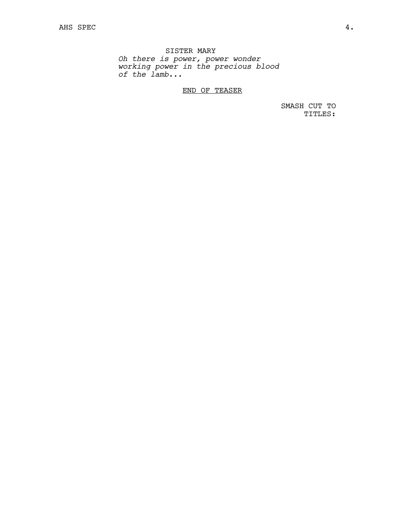SISTER MARY *Oh there is power, power wonder working power in the precious blood of the lamb...*

END OF TEASER

SMASH CUT TO TITLES: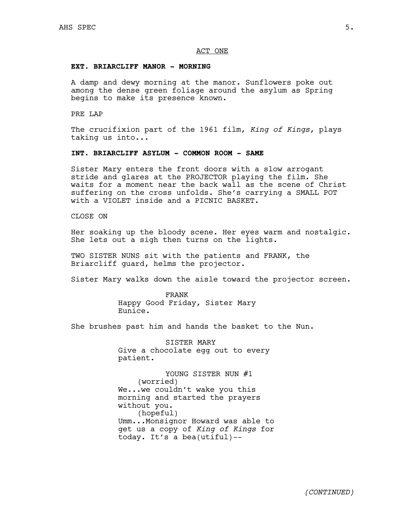## ACT ONE

## **EXT. BRIARCLIFF MANOR - MORNING**

A damp and dewy morning at the manor. Sunflowers poke out among the dense green foliage around the asylum as Spring begins to make its presence known.

PRE LAP

The crucifixion part of the 1961 film, *King of Kings,* plays taking us into...

## **INT. BRIARCLIFF ASYLUM - COMMON ROOM - SAME**

Sister Mary enters the front doors with a slow arrogant stride and glares at the PROJECTOR playing the film. She waits for a moment near the back wall as the scene of Christ suffering on the cross unfolds. She's carrying a SMALL POT with a VIOLET inside and a PICNIC BASKET.

CLOSE ON

Her soaking up the bloody scene. Her eyes warm and nostalgic. She lets out a sigh then turns on the lights.

TWO SISTER NUNS sit with the patients and FRANK, the Briarcliff guard, helms the projector.

Sister Mary walks down the aisle toward the projector screen.

FRANK Happy Good Friday, Sister Mary Eunice.

She brushes past him and hands the basket to the Nun.

SISTER MARY Give a chocolate egg out to every patient.

YOUNG SISTER NUN #1 (worried) We...we couldn't wake you this morning and started the prayers without you. (hopeful) Umm...Monsignor Howard was able to get us a copy of *King of Kings* for today. It's a bea(utiful)--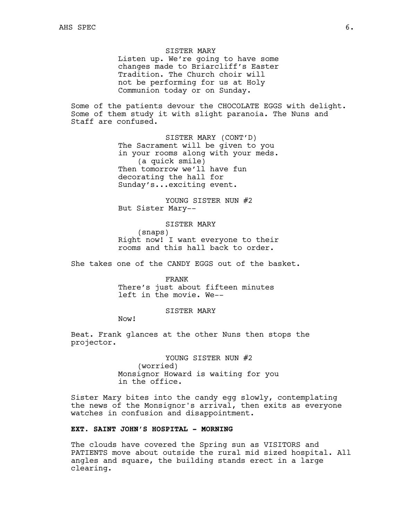SISTER MARY Listen up. We're going to have some changes made to Briarcliff's Easter Tradition. The Church choir will not be performing for us at Holy Communion today or on Sunday.

Some of the patients devour the CHOCOLATE EGGS with delight. Some of them study it with slight paranoia. The Nuns and Staff are confused.

> SISTER MARY (CONT'D) The Sacrament will be given to you in your rooms along with your meds. (a quick smile) Then tomorrow we'll have fun decorating the hall for Sunday's...exciting event.

YOUNG SISTER NUN #2 But Sister Mary--

SISTER MARY (snaps) Right now! I want everyone to their rooms and this hall back to order.

She takes one of the CANDY EGGS out of the basket.

FRANK There's just about fifteen minutes left in the movie. We--

SISTER MARY

Now!

Beat. Frank glances at the other Nuns then stops the projector.

> YOUNG SISTER NUN #2 (worried) Monsignor Howard is waiting for you in the office.

Sister Mary bites into the candy egg slowly, contemplating the news of the Monsignor's arrival, then exits as everyone watches in confusion and disappointment.

# **EXT. SAINT JOHN'S HOSPITAL - MORNING**

The clouds have covered the Spring sun as VISITORS and PATIENTS move about outside the rural mid sized hospital. All angles and square, the building stands erect in a large clearing.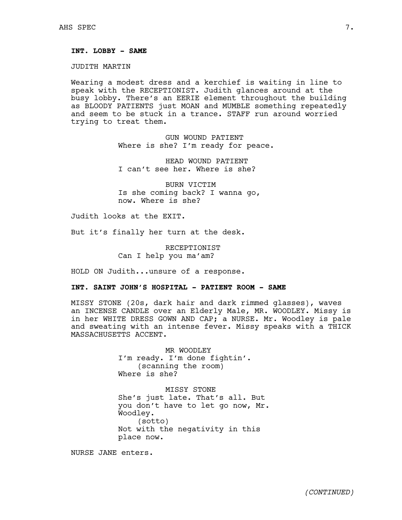# **INT. LOBBY - SAME**

JUDITH MARTIN

Wearing a modest dress and a kerchief is waiting in line to speak with the RECEPTIONIST. Judith glances around at the busy lobby. There's an EERIE element throughout the building as BLOODY PATIENTS just MOAN and MUMBLE something repeatedly and seem to be stuck in a trance. STAFF run around worried trying to treat them.

> GUN WOUND PATIENT Where is she? I'm ready for peace.

HEAD WOUND PATIENT I can't see her. Where is she?

BURN VICTIM Is she coming back? I wanna go, now. Where is she?

Judith looks at the EXIT.

But it's finally her turn at the desk.

RECEPTIONIST Can I help you ma'am?

HOLD ON Judith...unsure of a response.

# **INT. SAINT JOHN'S HOSPITAL - PATIENT ROOM - SAME**

MISSY STONE (20s, dark hair and dark rimmed glasses), waves an INCENSE CANDLE over an Elderly Male, MR. WOODLEY. Missy is in her WHITE DRESS GOWN AND CAP; a NURSE. Mr. Woodley is pale and sweating with an intense fever. Missy speaks with a THICK MASSACHUSETTS ACCENT.

> MR WOODLEY I'm ready. I'm done fightin'. (scanning the room) Where is she?

MISSY STONE She's just late. That's all. But you don't have to let go now, Mr. Woodley. (sotto) Not with the negativity in this place now.

NURSE JANE enters.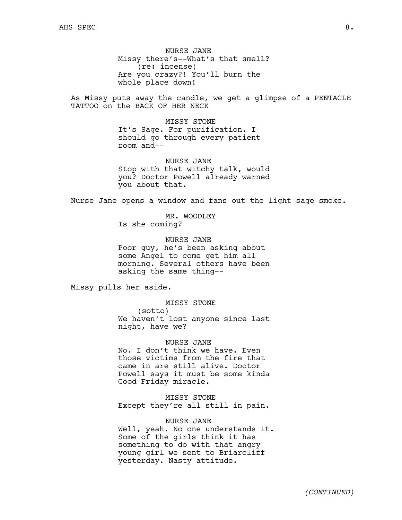NURSE JANE Missy there's--What's that smell? (re: incense) Are you crazy?! You'll burn the whole place down!

As Missy puts away the candle, we get a glimpse of a PENTACLE TATTOO on the BACK OF HER NECK

> MISSY STONE It's Sage. For purification. I should go through every patient room and--

NURSE JANE Stop with that witchy talk, would you? Doctor Powell already warned you about that.

Nurse Jane opens a window and fans out the light sage smoke.

MR. WOODLEY Is she coming?

NURSE JANE Poor guy, he's been asking about some Angel to come get him all morning. Several others have been asking the same thing--

Missy pulls her aside.

MISSY STONE (sotto) We haven't lost anyone since last night, have we?

NURSE JANE No. I don't think we have. Even those victims from the fire that came in are still alive. Doctor Powell says it must be some kinda Good Friday miracle.

MISSY STONE Except they're all still in pain.

NURSE JANE Well, yeah. No one understands it. Some of the girls think it has something to do with that angry young girl we sent to Briarcliff yesterday. Nasty attitude.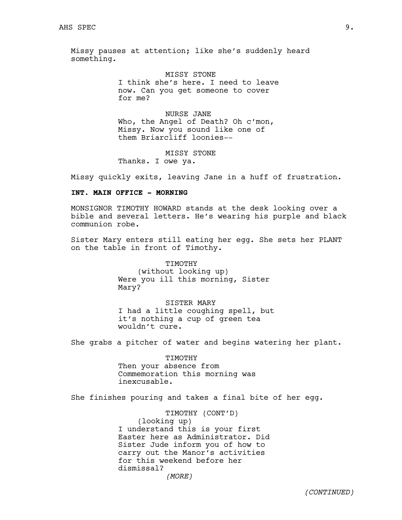Missy pauses at attention; like she's suddenly heard something.

> MISSY STONE I think she's here. I need to leave now. Can you get someone to cover for me?

NURSE JANE Who, the Angel of Death? Oh c'mon, Missy. Now you sound like one of them Briarcliff loonies--

MISSY STONE

Thanks. I owe ya.

Missy quickly exits, leaving Jane in a huff of frustration.

# **INT. MAIN OFFICE - MORNING**

MONSIGNOR TIMOTHY HOWARD stands at the desk looking over a bible and several letters. He's wearing his purple and black communion robe.

Sister Mary enters still eating her egg. She sets her PLANT on the table in front of Timothy.

> TIMOTHY (without looking up) Were you ill this morning, Sister Mary?

# SISTER MARY

I had a little coughing spell, but it's nothing a cup of green tea wouldn't cure.

She grabs a pitcher of water and begins watering her plant.

# TIMOTHY Then your absence from Commemoration this morning was inexcusable.

She finishes pouring and takes a final bite of her egg.

TIMOTHY (CONT'D) (looking up) I understand this is your first Easter here as Administrator. Did Sister Jude inform you of how to carry out the Manor's activities for this weekend before her dismissal?

*(MORE)*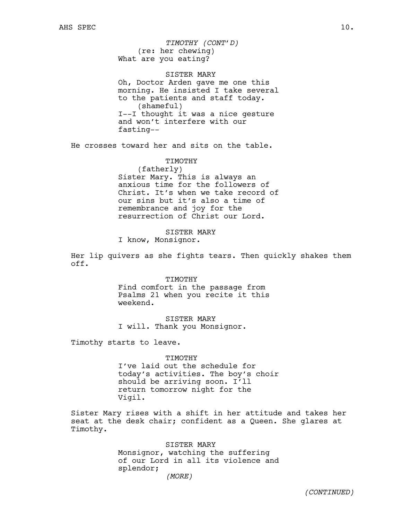(re: her chewing) What are you eating? *TIMOTHY (CONT'D)*

SISTER MARY

Oh, Doctor Arden gave me one this morning. He insisted I take several to the patients and staff today. (shameful) I--I thought it was a nice gesture and won't interfere with our fasting--

He crosses toward her and sits on the table.

TIMOTHY (fatherly) Sister Mary. This is always an anxious time for the followers of Christ. It's when we take record of our sins but it's also a time of remembrance and joy for the resurrection of Christ our Lord.

SISTER MARY I know, Monsignor.

Her lip quivers as she fights tears. Then quickly shakes them off.

> TIMOTHY Find comfort in the passage from Psalms 21 when you recite it this weekend.

SISTER MARY I will. Thank you Monsignor.

Timothy starts to leave.

TIMOTHY I've laid out the schedule for today's activities. The boy's choir should be arriving soon. I'll return tomorrow night for the Vigil.

Sister Mary rises with a shift in her attitude and takes her seat at the desk chair; confident as a Queen. She glares at Timothy.

> SISTER MARY Monsignor, watching the suffering of our Lord in all its violence and splendor; *(MORE)*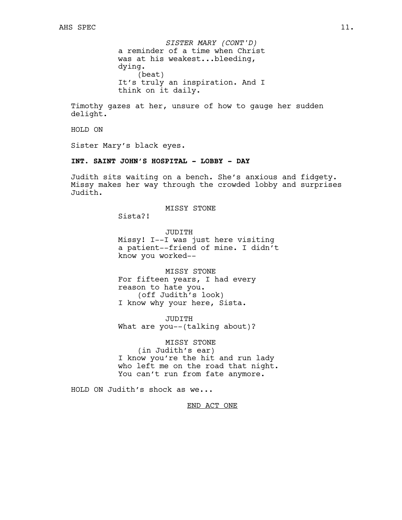a reminder of a time when Christ was at his weakest...bleeding, dying. (beat) It's truly an inspiration. And I think on it daily. *SISTER MARY (CONT'D)*

Timothy gazes at her, unsure of how to gauge her sudden delight.

HOLD ON

Sister Mary's black eyes.

# **INT. SAINT JOHN'S HOSPITAL - LOBBY - DAY**

Judith sits waiting on a bench. She's anxious and fidgety. Missy makes her way through the crowded lobby and surprises Judith.

## MISSY STONE

Sista?!

JUDITH Missy! I--I was just here visiting a patient--friend of mine. I didn't know you worked--

MISSY STONE For fifteen years, I had every reason to hate you. (off Judith's look) I know why your here, Sista.

JUDITH What are you--(talking about)?

MISSY STONE (in Judith's ear) I know you're the hit and run lady who left me on the road that night. You can't run from fate anymore.

HOLD ON Judith's shock as we...

END ACT ONE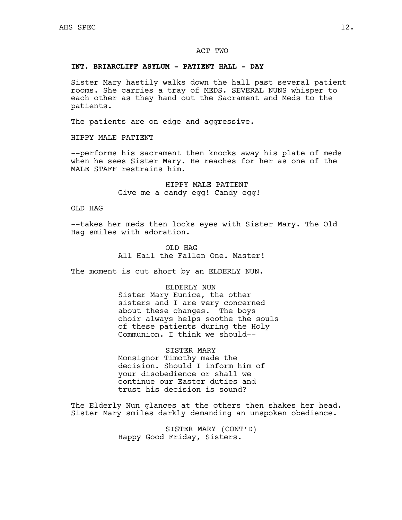## ACT TWO

# **INT. BRIARCLIFF ASYLUM - PATIENT HALL - DAY**

Sister Mary hastily walks down the hall past several patient rooms. She carries a tray of MEDS. SEVERAL NUNS whisper to each other as they hand out the Sacrament and Meds to the patients.

The patients are on edge and aggressive.

HIPPY MALE PATIENT

--performs his sacrament then knocks away his plate of meds when he sees Sister Mary. He reaches for her as one of the MALE STAFF restrains him.

> HIPPY MALE PATIENT Give me a candy egg! Candy egg!

OLD HAG

--takes her meds then locks eyes with Sister Mary. The Old Hag smiles with adoration.

> OLD HAG All Hail the Fallen One. Master!

The moment is cut short by an ELDERLY NUN.

ELDERLY NUN Sister Mary Eunice, the other sisters and I are very concerned about these changes. The boys choir always helps soothe the souls of these patients during the Holy Communion. I think we should--

SISTER MARY Monsignor Timothy made the decision. Should I inform him of your disobedience or shall we continue our Easter duties and trust his decision is sound?

The Elderly Nun glances at the others then shakes her head. Sister Mary smiles darkly demanding an unspoken obedience.

> SISTER MARY (CONT'D) Happy Good Friday, Sisters.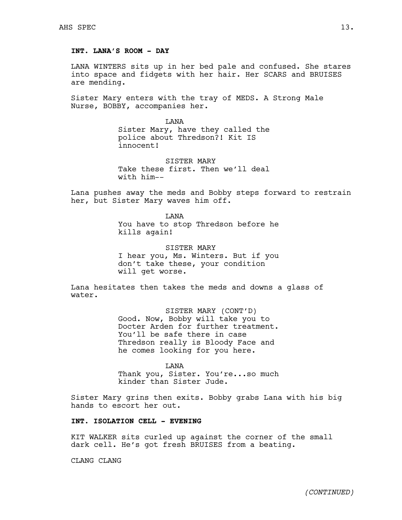# **INT. LANA'S ROOM - DAY**

LANA WINTERS sits up in her bed pale and confused. She stares into space and fidgets with her hair. Her SCARS and BRUISES are mending.

Sister Mary enters with the tray of MEDS. A Strong Male Nurse, BOBBY, accompanies her.

> LANA Sister Mary, have they called the police about Thredson?! Kit IS innocent!

> SISTER MARY Take these first. Then we'll deal with him--

Lana pushes away the meds and Bobby steps forward to restrain her, but Sister Mary waves him off.

> LANA You have to stop Thredson before he kills again!

> SISTER MARY I hear you, Ms. Winters. But if you don't take these, your condition will get worse.

Lana hesitates then takes the meds and downs a glass of water.

> SISTER MARY (CONT'D) Good. Now, Bobby will take you to Docter Arden for further treatment. You'll be safe there in case Thredson really is Bloody Face and he comes looking for you here.

> LANA Thank you, Sister. You're...so much kinder than Sister Jude.

Sister Mary grins then exits. Bobby grabs Lana with his big hands to escort her out.

# **INT. ISOLATION CELL - EVENING**

KIT WALKER sits curled up against the corner of the small dark cell. He's got fresh BRUISES from a beating.

CLANG CLANG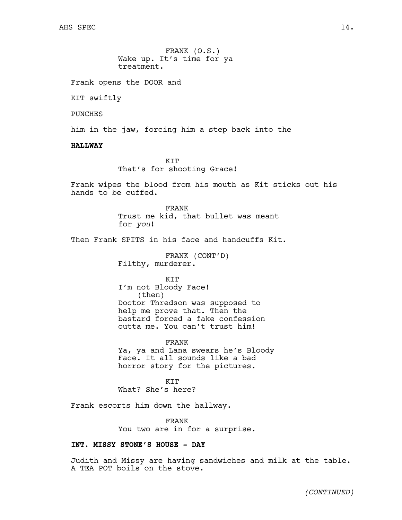FRANK (O.S.) Wake up. It's time for ya treatment.

Frank opens the DOOR and

KIT swiftly

PUNCHES

him in the jaw, forcing him a step back into the

# **HALLWAY**

KIT That's for shooting Grace!

Frank wipes the blood from his mouth as Kit sticks out his hands to be cuffed.

> FRANK Trust me kid, that bullet was meant for *you*!

Then Frank SPITS in his face and handcuffs Kit.

FRANK (CONT'D) Filthy, murderer.

KIT I'm not Bloody Face! (then) Doctor Thredson was supposed to help me prove that. Then the bastard forced a fake confession outta me. You can't trust him!

FRANK Ya, ya and Lana swears he's Bloody Face. It all sounds like a bad horror story for the pictures.

**KTT** What? She's here?

Frank escorts him down the hallway.

FRANK You two are in for a surprise.

# **INT. MISSY STONE'S HOUSE - DAY**

Judith and Missy are having sandwiches and milk at the table. A TEA POT boils on the stove.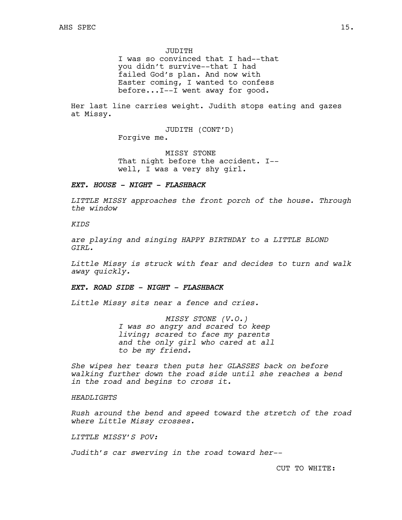JUDITH

I was so convinced that I had--that you didn't survive--that I had failed God's plan. And now with Easter coming, I wanted to confess before...I--I went away for good.

Her last line carries weight. Judith stops eating and gazes at Missy.

> JUDITH (CONT'D) Forgive me.

MISSY STONE That night before the accident. I- well, I was a very shy girl.

# *EXT. HOUSE - NIGHT - FLASHBACK*

*LITTLE MISSY approaches the front porch of the house. Through the window* 

# *KIDS*

*are playing and singing HAPPY BIRTHDAY to a LITTLE BLOND GIRL.*

*Little Missy is struck with fear and decides to turn and walk away quickly.* 

# *EXT. ROAD SIDE - NIGHT - FLASHBACK*

*Little Missy sits near a fence and cries.* 

*MISSY STONE (V.O.) I was so angry and scared to keep living; scared to face my parents and the only girl who cared at all to be my friend.*

*She wipes her tears then puts her GLASSES back on before walking further down the road side until she reaches a bend in the road and begins to cross it.*

## *HEADLIGHTS*

*Rush around the bend and speed toward the stretch of the road where Little Missy crosses.*

# *LITTLE MISSY'S POV:*

*Judith's car swerving in the road toward her--*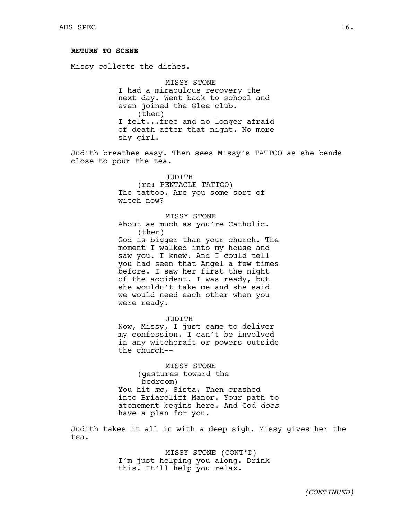# **RETURN TO SCENE**

Missy collects the dishes.

MISSY STONE I had a miraculous recovery the next day. Went back to school and even joined the Glee club. (then) I felt...free and no longer afraid of death after that night. No more shy girl.

Judith breathes easy. Then sees Missy's TATTOO as she bends close to pour the tea.

> JUDITH (re: PENTACLE TATTOO) The tattoo. Are you some sort of witch now?

MISSY STONE About as much as you're Catholic. (then) God is bigger than your church. The moment I walked into my house and saw you. I knew. And I could tell you had seen that Angel a few times before. I saw her first the night of the accident. I was ready, but she wouldn't take me and she said we would need each other when you were ready.

JUDITH Now, Missy, I just came to deliver my confession. I can't be involved in any witchcraft or powers outside the church--

MISSY STONE (gestures toward the bedroom) You hit *me*, Sista. Then crashed into Briarcliff Manor. Your path to atonement begins here. And God *does* have a plan for you.

Judith takes it all in with a deep sigh. Missy gives her the tea.

> MISSY STONE (CONT'D) I'm just helping you along. Drink this. It'll help you relax.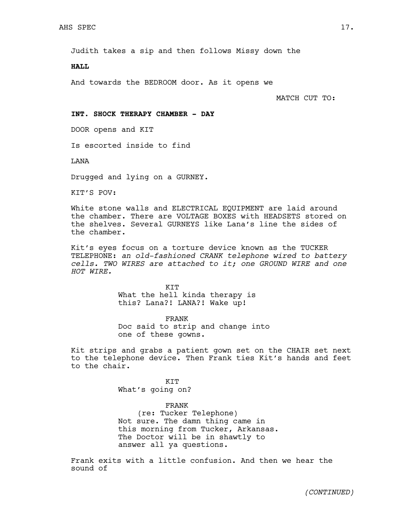Judith takes a sip and then follows Missy down the

**HALL**

And towards the BEDROOM door. As it opens we

MATCH CUT TO:

## **INT. SHOCK THERAPY CHAMBER - DAY**

DOOR opens and KIT

Is escorted inside to find

LANA

Drugged and lying on a GURNEY.

KIT'S POV:

White stone walls and ELECTRICAL EQUIPMENT are laid around the chamber. There are VOLTAGE BOXES with HEADSETS stored on the shelves. Several GURNEYS like Lana's line the sides of the chamber.

Kit's eyes focus on a torture device known as the TUCKER TELEPHONE: *an old-fashioned CRANK telephone wired to battery cells. TWO WIRES are attached to it; one GROUND WIRE and one HOT WIRE.*

> KIT What the hell kinda therapy is this? Lana?! LANA?! Wake up!

FRANK Doc said to strip and change into one of these gowns.

Kit strips and grabs a patient gown set on the CHAIR set next to the telephone device. Then Frank ties Kit's hands and feet to the chair.

> **KTT** What's going on?

FRANK (re: Tucker Telephone) Not sure. The damn thing came in this morning from Tucker, Arkansas. The Doctor will be in shawtly to answer all ya questions.

Frank exits with a little confusion. And then we hear the sound of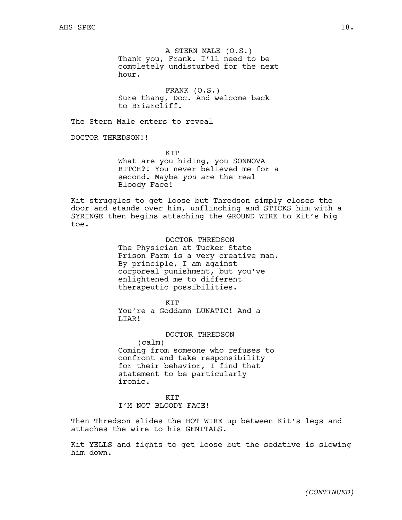A STERN MALE (O.S.) Thank you, Frank. I'll need to be completely undisturbed for the next hour.

FRANK (O.S.) Sure thang, Doc. And welcome back to Briarcliff.

The Stern Male enters to reveal

DOCTOR THREDSON!!

KIT

What are you hiding, you SONNOVA BITCH?! You never believed me for a second. Maybe *you* are the real Bloody Face!

Kit struggles to get loose but Thredson simply closes the door and stands over him, unflinching and STICKS him with a SYRINGE then begins attaching the GROUND WIRE to Kit's big toe.

> DOCTOR THREDSON The Physician at Tucker State Prison Farm is a very creative man. By principle, I am against corporeal punishment, but you've enlightened me to different therapeutic possibilities.

KIT You're a Goddamn LUNATIC! And a LIAR!

DOCTOR THREDSON (calm) Coming from someone who refuses to confront and take responsibility for their behavior, I find that statement to be particularly ironic.

**KTT** 

I'M NOT BLOODY FACE!

Then Thredson slides the HOT WIRE up between Kit's legs and attaches the wire to his GENITALS.

Kit YELLS and fights to get loose but the sedative is slowing him down.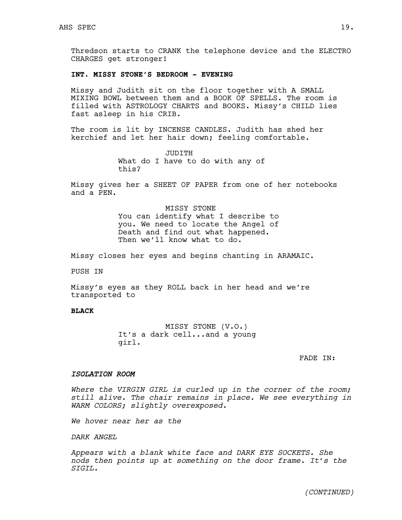Thredson starts to CRANK the telephone device and the ELECTRO CHARGES get stronger!

# **INT. MISSY STONE'S BEDROOM - EVENING**

Missy and Judith sit on the floor together with A SMALL MIXING BOWL between them and a BOOK OF SPELLS. The room is filled with ASTROLOGY CHARTS and BOOKS. Missy's CHILD lies fast asleep in his CRIB.

The room is lit by INCENSE CANDLES. Judith has shed her kerchief and let her hair down; feeling comfortable.

> JUDITH What do I have to do with any of this?

Missy gives her a SHEET OF PAPER from one of her notebooks and a PEN.

> MISSY STONE You can identify what I describe to you. We need to locate the Angel of Death and find out what happened. Then we'll know what to do.

Missy closes her eyes and begins chanting in ARAMAIC.

PUSH IN

Missy's eyes as they ROLL back in her head and we're transported to

## **BLACK**

MISSY STONE (V.O.) It's a dark cell...and a young girl.

FADE IN:

## *ISOLATION ROOM*

*Where the VIRGIN GIRL is curled up in the corner of the room; still alive. The chair remains in place. We see everything in WARM COLORS; slightly overexposed.*

*We hover near her as the* 

*DARK ANGEL*

*Appears with a blank white face and DARK EYE SOCKETS. She nods then points up at something on the door frame. It's the SIGIL.*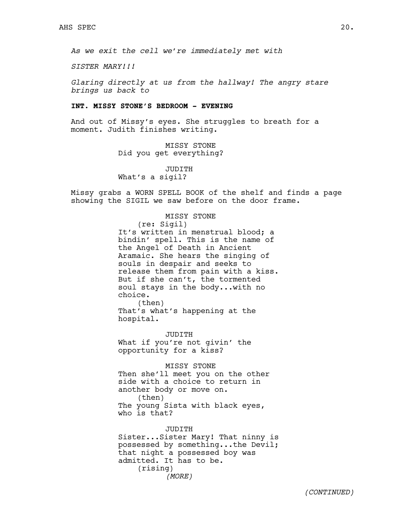*As we exit the cell we're immediately met with* 

*SISTER MARY!!!*

*Glaring directly at us from the hallway! The angry stare brings us back to*

## **INT. MISSY STONE'S BEDROOM - EVENING**

And out of Missy's eyes. She struggles to breath for a moment. Judith finishes writing.

> MISSY STONE Did you get everything?

JUDITH What's a sigil?

hospital.

Missy grabs a WORN SPELL BOOK of the shelf and finds a page showing the SIGIL we saw before on the door frame.

#### MISSY STONE

(re: Sigil) It's written in menstrual blood; a bindin' spell. This is the name of the Angel of Death in Ancient Aramaic. She hears the singing of souls in despair and seeks to release them from pain with a kiss. But if she can't, the tormented soul stays in the body...with no choice. (then) That's what's happening at the

JUDITH What if you're not givin' the opportunity for a kiss?

MISSY STONE Then she'll meet you on the other side with a choice to return in another body or move on. (then) The young Sista with black eyes, who is that?

JUDITH Sister...Sister Mary! That ninny is possessed by something...the Devil; that night a possessed boy was admitted. It has to be. (rising) *(MORE)*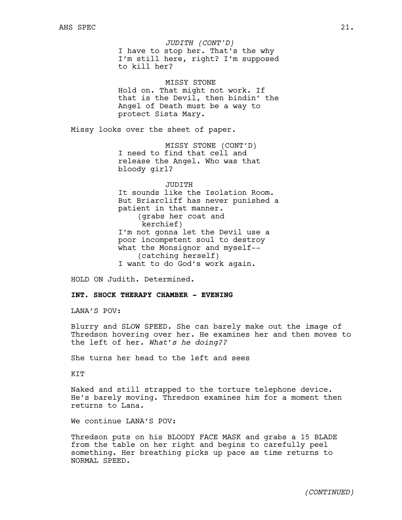I have to stop her. That's the why I'm still here, right? I'm supposed to kill her? *JUDITH (CONT'D)*

MISSY STONE Hold on. That might not work. If that is the Devil, then bindin' the Angel of Death must be a way to protect Sista Mary.

Missy looks over the sheet of paper.

MISSY STONE (CONT'D) I need to find that cell and release the Angel. Who was that bloody girl?

JUDITH It sounds like the Isolation Room. But Briarcliff has never punished a patient in that manner. (grabs her coat and kerchief) I'm not gonna let the Devil use a poor incompetent soul to destroy what the Monsignor and myself-- (catching herself) I want to do God's work again.

HOLD ON Judith. Determined.

# **INT. SHOCK THERAPY CHAMBER - EVENING**

LANA'S POV:

Blurry and SLOW SPEED. She can barely make out the image of Thredson hovering over her. He examines her and then moves to the left of her. *What's he doing??*

She turns her head to the left and sees

KIT

Naked and still strapped to the torture telephone device. He's barely moving. Thredson examines him for a moment then returns to Lana.

We continue LANA'S POV:

Thredson puts on his BLOODY FACE MASK and grabs a 15 BLADE from the table on her right and begins to carefully peel something. Her breathing picks up pace as time returns to NORMAL SPEED.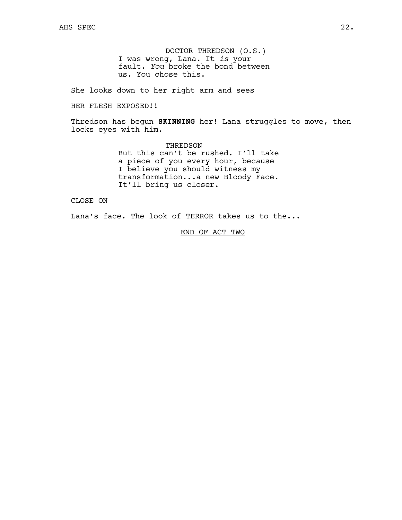DOCTOR THREDSON (O.S.) I was wrong, Lana. It *is* your fault. *You* broke the bond between us. You chose this.

She looks down to her right arm and sees

HER FLESH EXPOSED!!

Thredson has begun **SKINNING** her! Lana struggles to move, then locks eyes with him.

> THREDSON But this can't be rushed. I'll take a piece of you every hour, because I believe you should witness my transformation...a new Bloody Face. It'll bring us closer.

CLOSE ON

Lana's face. The look of TERROR takes us to the...

END OF ACT TWO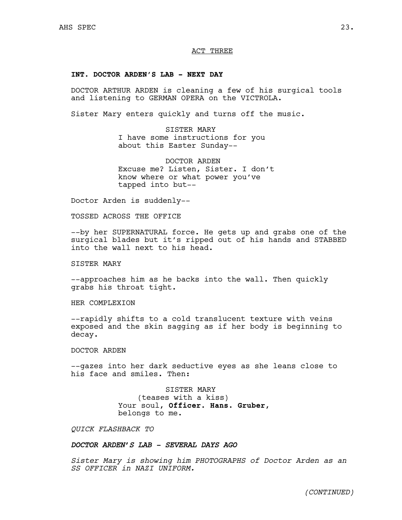# ACT THREE

## **INT. DOCTOR ARDEN'S LAB - NEXT DAY**

DOCTOR ARTHUR ARDEN is cleaning a few of his surgical tools and listening to GERMAN OPERA on the VICTROLA.

Sister Mary enters quickly and turns off the music.

SISTER MARY I have some instructions for you about this Easter Sunday--

DOCTOR ARDEN Excuse me? Listen, Sister. I don't know where or what power you've tapped into but--

Doctor Arden is suddenly--

TOSSED ACROSS THE OFFICE

--by her SUPERNATURAL force. He gets up and grabs one of the surgical blades but it's ripped out of his hands and STABBED into the wall next to his head.

SISTER MARY

--approaches him as he backs into the wall. Then quickly grabs his throat tight.

HER COMPLEXION

--rapidly shifts to a cold translucent texture with veins exposed and the skin sagging as if her body is beginning to decay.

DOCTOR ARDEN

--gazes into her dark seductive eyes as she leans close to his face and smiles. Then:

> SISTER MARY (teases with a kiss) Your soul, **Officer**. **Hans. Gruber**, belongs to me.

*QUICK FLASHBACK TO* 

# *DOCTOR ARDEN'S LAB - SEVERAL DAYS AGO*

*Sister Mary is showing him PHOTOGRAPHS of Doctor Arden as an SS OFFICER in NAZI UNIFORM.*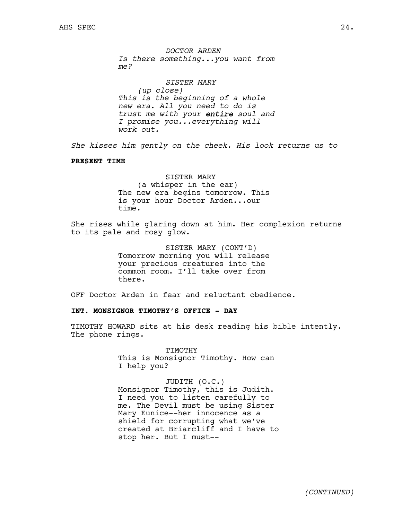*DOCTOR ARDEN Is there something...you want from me?*

*SISTER MARY (up close) This is the beginning of a whole new era. All you need to do is trust me with your entire soul and I promise you...everything will work out.*

*She kisses him gently on the cheek. His look returns us to*

#### **PRESENT TIME**

SISTER MARY (a whisper in the ear) The new era begins tomorrow. This is your hour Doctor Arden...our time.

She rises while glaring down at him. Her complexion returns to its pale and rosy glow.

> SISTER MARY (CONT'D) Tomorrow morning you will release your precious creatures into the common room. I'll take over from there.

OFF Doctor Arden in fear and reluctant obedience.

# **INT. MONSIGNOR TIMOTHY'S OFFICE - DAY**

TIMOTHY HOWARD sits at his desk reading his bible intently. The phone rings.

> TIMOTHY This is Monsignor Timothy. How can I help you?

JUDITH (O.C.) Monsignor Timothy, this is Judith. I need you to listen carefully to me. The Devil must be using Sister Mary Eunice--her innocence as a shield for corrupting what we've created at Briarcliff and I have to stop her. But I must--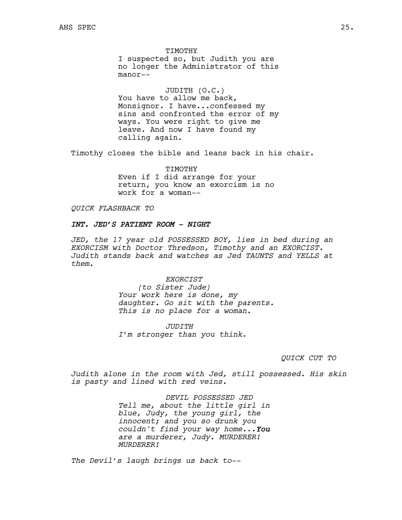TIMOTHY I suspected so, but Judith you are no longer the Administrator of this manor--

JUDITH (O.C.) You have to allow me back, Monsignor. I have...confessed my sins and confronted the error of my ways. You were right to give me leave. And now I have found my calling again.

Timothy closes the bible and leans back in his chair.

TIMOTHY Even if I did arrange for your return, you know an exorcism is no work for a woman--

*QUICK FLASHBACK TO*

# *INT. JED'S PATIENT ROOM - NIGHT*

*JED, the 17 year old POSSESSED BOY, lies in bed during an EXORCISM with Doctor Thredson, Timothy and an EXORCIST. Judith stands back and watches as Jed TAUNTS and YELLS at them.*

*EXORCIST*

*(to Sister Jude) Your work here is done, my daughter. Go sit with the parents. This is no place for a woman.*

*JUDITH I'm stronger than you think.*

## *QUICK CUT TO*

*Judith alone in the room with Jed, still possessed. His skin is pasty and lined with red veins.* 

> *DEVIL POSSESSED JED Tell me, about the little girl in blue, Judy, the young girl, the innocent; and you so drunk you couldn't find your way home...You are a murderer, Judy. MURDERER! MURDERER!*

*The Devil's laugh brings us back to--*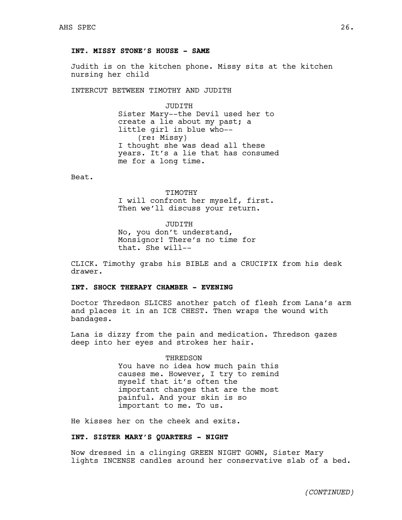# **INT. MISSY STONE'S HOUSE - SAME**

Judith is on the kitchen phone. Missy sits at the kitchen nursing her child

INTERCUT BETWEEN TIMOTHY AND JUDITH

JUDITH Sister Mary--the Devil used her to create a lie about my past; a little girl in blue who-- (re: Missy) I thought she was dead all these years. It's a lie that has consumed me for a long time.

Beat.

#### TIMOTHY

I will confront her myself, first. Then we'll discuss your return.

JUDITH No, you don't understand, Monsignor! There's no time for that. She will--

CLICK. Timothy grabs his BIBLE and a CRUCIFIX from his desk drawer.

# **INT. SHOCK THERAPY CHAMBER - EVENING**

Doctor Thredson SLICES another patch of flesh from Lana's arm and places it in an ICE CHEST. Then wraps the wound with bandages.

Lana is dizzy from the pain and medication. Thredson gazes deep into her eyes and strokes her hair.

> THREDSON You have no idea how much pain this causes me. However, I try to remind myself that it's often the important changes that are the most painful. And your skin is so important to me. To us.

He kisses her on the cheek and exits.

# **INT. SISTER MARY'S QUARTERS - NIGHT**

Now dressed in a clinging GREEN NIGHT GOWN, Sister Mary lights INCENSE candles around her conservative slab of a bed.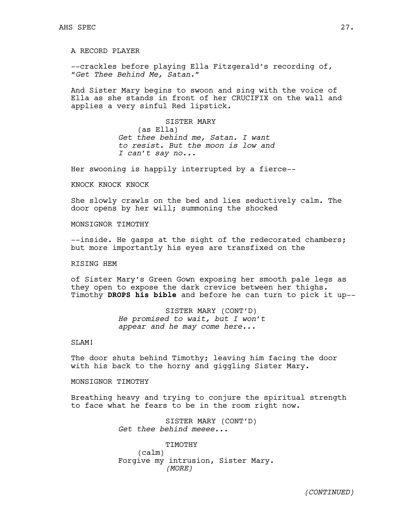A RECORD PLAYER

--crackles before playing Ella Fitzgerald's recording of, "*Get Thee Behind Me, Satan."*

And Sister Mary begins to swoon and sing with the voice of Ella as she stands in front of her CRUCIFIX on the wall and applies a very sinful Red lipstick.

> SISTER MARY (as Ella) *Get thee behind me, Satan. I want to resist. But the moon is low and I can't say no...*

Her swooning is happily interrupted by a fierce--

KNOCK KNOCK KNOCK

She slowly crawls on the bed and lies seductively calm. The door opens by her will; summoning the shocked

MONSIGNOR TIMOTHY

--inside. He gasps at the sight of the redecorated chambers; but more importantly his eyes are transfixed on the

# RISING HEM

of Sister Mary's Green Gown exposing her smooth pale legs as they open to expose the dark crevice between her thighs. Timothy **DROPS his bible** and before he can turn to pick it up--

> SISTER MARY (CONT'D) *He promised to wait, but I won't appear and he may come here...*

## SLAM!

The door shuts behind Timothy; leaving him facing the door with his back to the horny and giggling Sister Mary.

MONSIGNOR TIMOTHY

Breathing heavy and trying to conjure the spiritual strength to face what he fears to be in the room right now.

> SISTER MARY (CONT'D) *Get thee behind meeee...*

TIMOTHY (calm) Forgive my intrusion, Sister Mary. *(MORE)*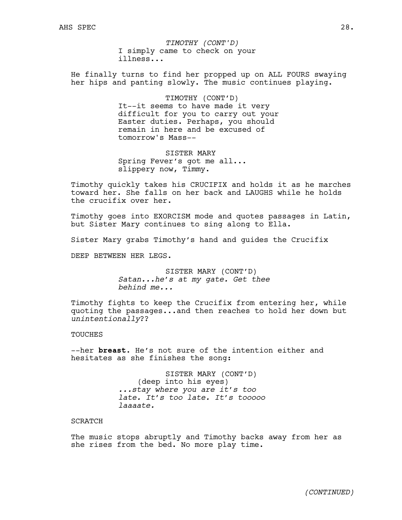I simply came to check on your illness... *TIMOTHY (CONT'D)*

He finally turns to find her propped up on ALL FOURS swaying her hips and panting slowly. The music continues playing.

> TIMOTHY (CONT'D) It--it seems to have made it very difficult for you to carry out your Easter duties. Perhaps, you should remain in here and be excused of tomorrow's Mass--

SISTER MARY Spring Fever's got me all... slippery now, Timmy.

Timothy quickly takes his CRUCIFIX and holds it as he marches toward her. She falls on her back and LAUGHS while he holds the crucifix over her.

Timothy goes into EXORCISM mode and quotes passages in Latin, but Sister Mary continues to sing along to Ella.

Sister Mary grabs Timothy's hand and guides the Crucifix

DEEP BETWEEN HER LEGS.

SISTER MARY (CONT'D) *Satan...he's at my gate. Get thee behind me...*

Timothy fights to keep the Crucifix from entering her, while quoting the passages...and then reaches to hold her down but *unintentionally*??

TOUCHES

--her **breast**. He's not sure of the intention either and hesitates as she finishes the song:

> SISTER MARY (CONT'D) (deep into his eyes) *...stay where you are it's too late. It's too late. It's tooooo laaaate.*

## SCRATCH

The music stops abruptly and Timothy backs away from her as she rises from the bed. No more play time.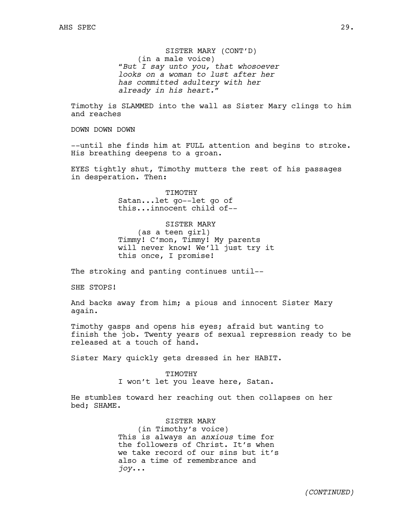SISTER MARY (CONT'D) (in a male voice) *"But I say unto you, that whosoever looks on a woman to lust after her has committed adultery with her already in his heart."*

Timothy is SLAMMED into the wall as Sister Mary clings to him and reaches

DOWN DOWN DOWN

--until she finds him at FULL attention and begins to stroke. His breathing deepens to a groan.

EYES tightly shut, Timothy mutters the rest of his passages in desperation. Then:

> TIMOTHY Satan...let go--let go of this...innocent child of--

SISTER MARY (as a teen girl) Timmy! C'mon, Timmy! My parents will never know! We'll just try it this once, I promise!

The stroking and panting continues until--

SHE STOPS!

And backs away from him; a pious and innocent Sister Mary again.

Timothy gasps and opens his eyes; afraid but wanting to finish the job. Twenty years of sexual repression ready to be released at a touch of hand.

Sister Mary quickly gets dressed in her HABIT.

#### TIMOTHY

I won't let you leave here, Satan.

He stumbles toward her reaching out then collapses on her bed; SHAME.

> SISTER MARY (in Timothy's voice) This is always an *anxious* time for the followers of Christ. It's when we take record of our sins but it's also a time of remembrance and *joy*...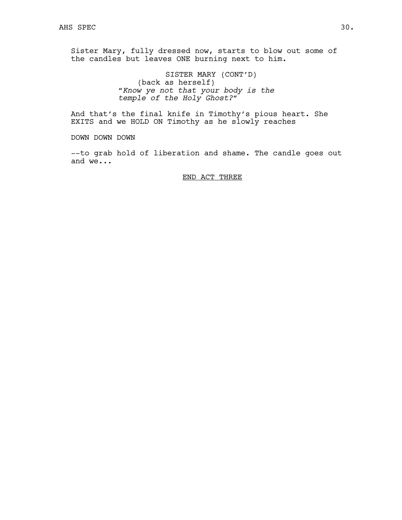Sister Mary, fully dressed now, starts to blow out some of the candles but leaves ONE burning next to him.

> SISTER MARY (CONT'D) (back as herself) *"Know ye not that your body is the temple of the Holy Ghost?"*

And that's the final knife in Timothy's pious heart. She EXITS and we HOLD ON Timothy as he slowly reaches

DOWN DOWN DOWN

--to grab hold of liberation and shame. The candle goes out and we...

# END ACT THREE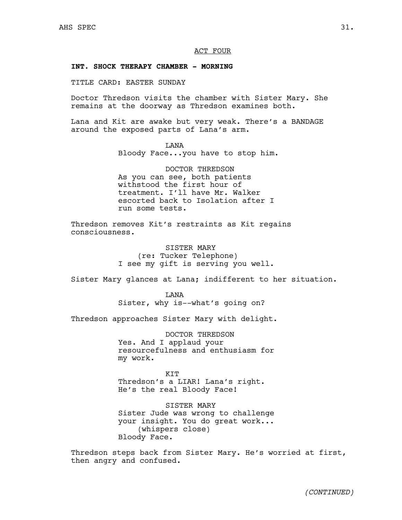## ACT FOUR

# **INT. SHOCK THERAPY CHAMBER - MORNING**

TITLE CARD: EASTER SUNDAY

Doctor Thredson visits the chamber with Sister Mary. She remains at the doorway as Thredson examines both.

Lana and Kit are awake but very weak. There's a BANDAGE around the exposed parts of Lana's arm.

LANA

Bloody Face...you have to stop him.

DOCTOR THREDSON As you can see, both patients withstood the first hour of treatment. I'll have Mr. Walker escorted back to Isolation after I run some tests.

Thredson removes Kit's restraints as Kit regains consciousness.

> SISTER MARY (re: Tucker Telephone) I see my gift is serving you well.

Sister Mary glances at Lana; indifferent to her situation.

**T.ANA** Sister, why is--what's going on?

Thredson approaches Sister Mary with delight.

DOCTOR THREDSON Yes. And I applaud your resourcefulness and enthusiasm for my work.

KIT Thredson's a LIAR! Lana's right. He's the real Bloody Face!

SISTER MARY Sister Jude was wrong to challenge your insight. You do great work... (whispers close) Bloody Face.

Thredson steps back from Sister Mary. He's worried at first, then angry and confused.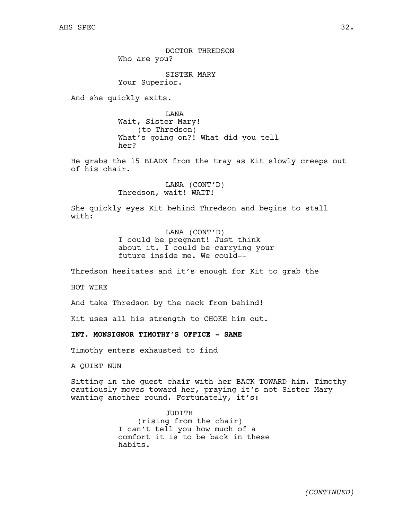DOCTOR THREDSON Who are you?

SISTER MARY Your Superior.

And she quickly exits.

LANA Wait, Sister Mary! (to Thredson) What's going on?! What did you tell her?

He grabs the 15 BLADE from the tray as Kit slowly creeps out of his chair.

> LANA (CONT'D) Thredson, wait! WAIT!

She quickly eyes Kit behind Thredson and begins to stall with:

> LANA (CONT'D) I could be pregnant! Just think about it. I could be carrying your future inside me. We could--

Thredson hesitates and it's enough for Kit to grab the

HOT WIRE

And take Thredson by the neck from behind!

Kit uses all his strength to CHOKE him out.

**INT. MONSIGNOR TIMOTHY'S OFFICE - SAME**

Timothy enters exhausted to find

A QUIET NUN

Sitting in the guest chair with her BACK TOWARD him. Timothy cautiously moves toward her, praying it's not Sister Mary wanting another round. Fortunately, it's:

> JUDITH (rising from the chair) I can't tell you how much of a comfort it is to be back in these habits.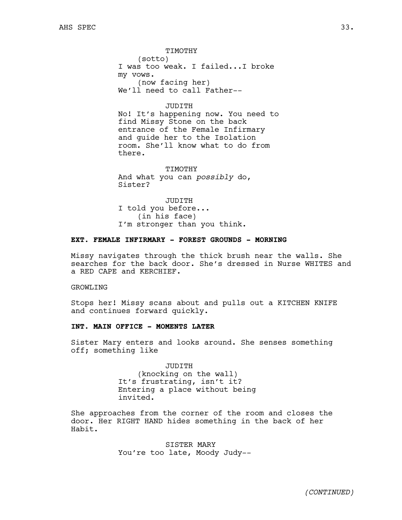TIMOTHY (sotto) I was too weak. I failed...I broke my vows. (now facing her) We'll need to call Father--

# JUDITH

No! It's happening now. You need to find Missy Stone on the back entrance of the Female Infirmary and guide her to the Isolation room. She'll know what to do from there.

TIMOTHY And what you can *possibly* do, Sister?

JUDITH I told you before... (in his face) I'm stronger than you think.

# **EXT. FEMALE INFIRMARY - FOREST GROUNDS - MORNING**

Missy navigates through the thick brush near the walls. She searches for the back door. She's dressed in Nurse WHITES and a RED CAPE and KERCHIEF.

GROWLING

Stops her! Missy scans about and pulls out a KITCHEN KNIFE and continues forward quickly.

# **INT. MAIN OFFICE - MOMENTS LATER**

Sister Mary enters and looks around. She senses something off; something like

> JUDITH (knocking on the wall) It's frustrating, isn't it? Entering a place without being invited.

She approaches from the corner of the room and closes the door. Her RIGHT HAND hides something in the back of her Habit.

> SISTER MARY You're too late, Moody Judy--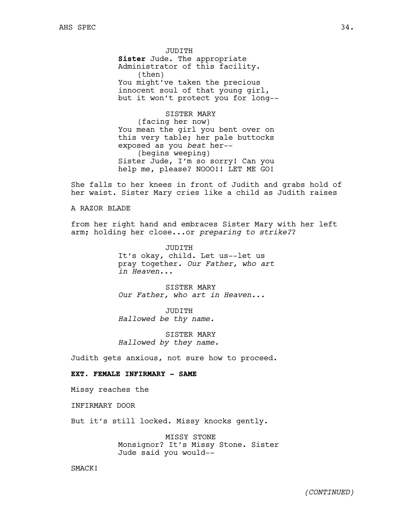JUDITH **Sister** Jude. The appropriate Administrator of this facility. (then) You might've taken the precious innocent soul of that young girl, but it won't protect you for long--

SISTER MARY (facing her now) You mean the girl you bent over on this very table; her pale buttocks exposed as you *beat* her-- (begins weeping) Sister Jude, I'm so sorry! Can you help me, please? NOOO!! LET ME GO!

She falls to her knees in front of Judith and grabs hold of her waist. Sister Mary cries like a child as Judith raises

## A RAZOR BLADE

from her right hand and embraces Sister Mary with her left arm; holding her close...or *preparing to strike?*?

> JUDITH It's okay, child. Let us--let us pray together. *Our Father, who art in Heaven...*

SISTER MARY *Our Father, who art in Heaven...*

JUDITH *Hallowed be thy name.*

SISTER MARY *Hallowed by they name.*

Judith gets anxious, not sure how to proceed.

# **EXT. FEMALE INFIRMARY - SAME**

Missy reaches the

INFIRMARY DOOR

But it's still locked. Missy knocks gently.

MISSY STONE Monsignor? It's Missy Stone. Sister Jude said you would--

SMACK!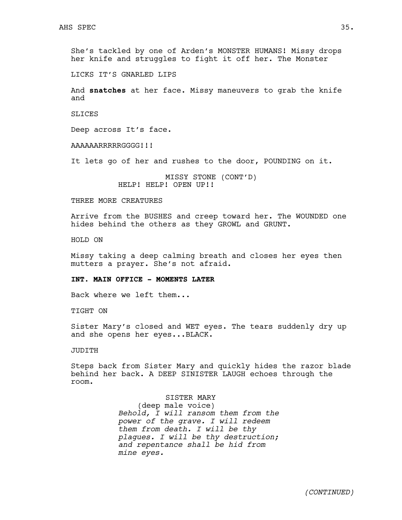She's tackled by one of Arden's MONSTER HUMANS! Missy drops her knife and struggles to fight it off her. The Monster

LICKS IT'S GNARLED LIPS

And **snatches** at her face. Missy maneuvers to grab the knife and

**SLICES** 

Deep across It's face.

AAAAAARRRRRGGGG!!!

It lets go of her and rushes to the door, POUNDING on it.

MISSY STONE (CONT'D) HELP! HELP! OPEN UP!!

THREE MORE CREATURES

Arrive from the BUSHES and creep toward her. The WOUNDED one hides behind the others as they GROWL and GRUNT.

HOLD ON

Missy taking a deep calming breath and closes her eyes then mutters a prayer. She's not afraid.

## **INT. MAIN OFFICE - MOMENTS LATER**

Back where we left them...

TIGHT ON

Sister Mary's closed and WET eyes. The tears suddenly dry up and she opens her eyes...BLACK.

JUDITH

Steps back from Sister Mary and quickly hides the razor blade behind her back. A DEEP SINISTER LAUGH echoes through the room.

> SISTER MARY (deep male voice) *Behold, I will ransom them from the power of the grave. I will redeem them from death. I will be thy plagues. I will be thy destruction; and repentance shall be hid from mine eyes.*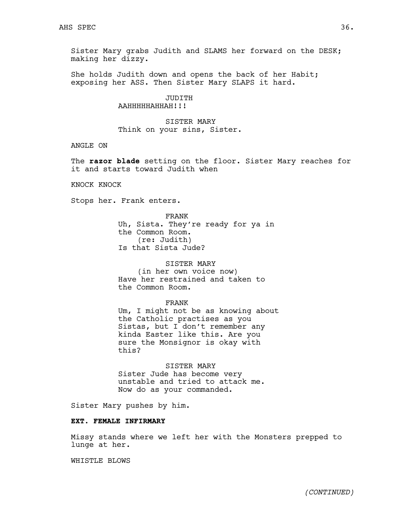Sister Mary grabs Judith and SLAMS her forward on the DESK; making her dizzy.

She holds Judith down and opens the back of her Habit; exposing her ASS. Then Sister Mary SLAPS it hard.

> JUDITH AAHHHHHAHHAH!!!

SISTER MARY Think on your sins, Sister.

ANGLE ON

The **razor blade** setting on the floor. Sister Mary reaches for it and starts toward Judith when

KNOCK KNOCK

Stops her. Frank enters.

FRANK Uh, Sista. They're ready for ya in the Common Room. (re: Judith) Is that Sista Jude?

SISTER MARY (in her own voice now) Have her restrained and taken to the Common Room.

#### FRANK

Um, I might not be as knowing about the Catholic practises as you Sistas, but I don't remember any kinda Easter like this. Are you sure the Monsignor is okay with this?

SISTER MARY Sister Jude has become very unstable and tried to attack me. Now do as your commanded.

Sister Mary pushes by him.

## **EXT. FEMALE INFIRMARY**

Missy stands where we left her with the Monsters prepped to lunge at her.

WHISTLE BLOWS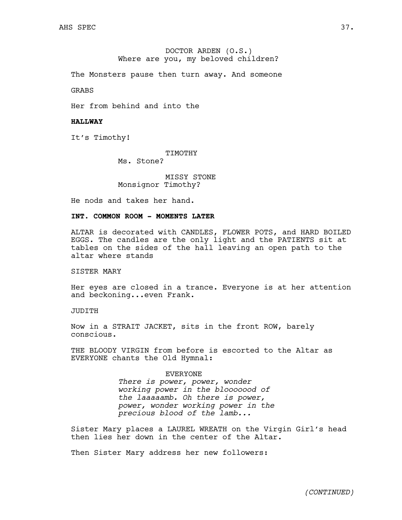# DOCTOR ARDEN (O.S.) Where are you, my beloved children?

The Monsters pause then turn away. And someone

GRABS

Her from behind and into the

## **HALLWAY**

It's Timothy!

TIMOTHY

Ms. Stone?

MISSY STONE Monsignor Timothy?

He nods and takes her hand.

# **INT. COMMON ROOM - MOMENTS LATER**

ALTAR is decorated with CANDLES, FLOWER POTS, and HARD BOILED EGGS. The candles are the only light and the PATIENTS sit at tables on the sides of the hall leaving an open path to the altar where stands

## SISTER MARY

Her eyes are closed in a trance. Everyone is at her attention and beckoning...even Frank.

# JUDITH

Now in a STRAIT JACKET, sits in the front ROW, barely conscious.

THE BLOODY VIRGIN from before is escorted to the Altar as EVERYONE chants the Old Hymnal:

#### EVERYONE

*There is power, power, wonder working power in the blooooood of the laaaaamb. Oh there is power, power, wonder working power in the precious blood of the lamb...*

Sister Mary places a LAUREL WREATH on the Virgin Girl's head then lies her down in the center of the Altar.

Then Sister Mary address her new followers: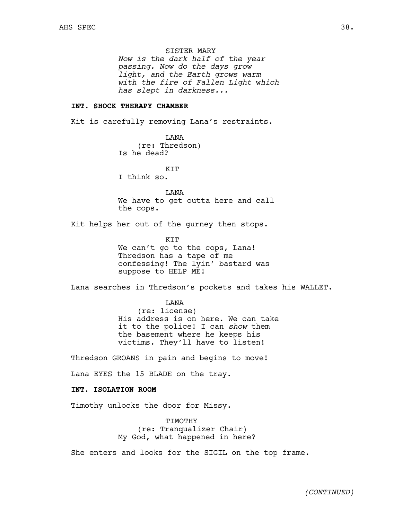SISTER MARY

*Now is the dark half of the year passing. Now do the days grow light, and the Earth grows warm with the fire of Fallen Light* w*hich has slept in darkness...* 

## **INT. SHOCK THERAPY CHAMBER**

Kit is carefully removing Lana's restraints.

LANA (re: Thredson) Is he dead?

**KTT** 

I think so.

LANA We have to get outta here and call the cops.

Kit helps her out of the gurney then stops.

**KTT** We can't go to the cops, Lana! Thredson has a tape of me confessing! The lyin' bastard was suppose to HELP ME!

Lana searches in Thredson's pockets and takes his WALLET.

LANA (re: license) His address is on here. We can take it to the police! I can *show* them the basement where he keeps his victims. They'll have to listen!

Thredson GROANS in pain and begins to move!

Lana EYES the 15 BLADE on the tray.

# **INT. ISOLATION ROOM**

Timothy unlocks the door for Missy.

TIMOTHY (re: Tranqualizer Chair) My God, what happened in here?

She enters and looks for the SIGIL on the top frame.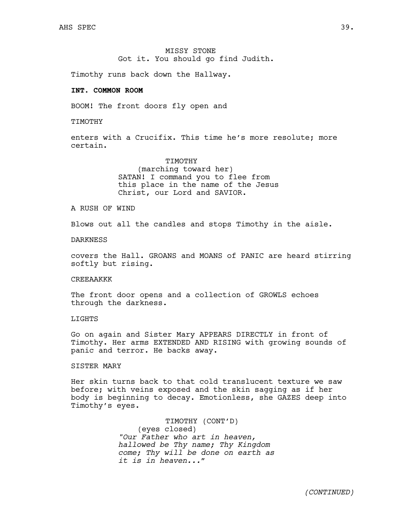MISSY STONE Got it. You should go find Judith.

Timothy runs back down the Hallway.

# **INT. COMMON ROOM**

BOOM! The front doors fly open and

TIMOTHY

enters with a Crucifix. This time he's more resolute; more certain.

> TIMOTHY (marching toward her) SATAN! I command you to flee from this place in the name of the Jesus Christ, our Lord and SAVIOR.

A RUSH OF WIND

Blows out all the candles and stops Timothy in the aisle.

## DARKNESS

covers the Hall. GROANS and MOANS of PANIC are heard stirring softly but rising.

## CREEAAKKK

The front door opens and a collection of GROWLS echoes through the darkness.

# LIGHTS

Go on again and Sister Mary APPEARS DIRECTLY in front of Timothy. Her arms EXTENDED AND RISING with growing sounds of panic and terror. He backs away.

## SISTER MARY

Her skin turns back to that cold translucent texture we saw before; with veins exposed and the skin sagging as if her body is beginning to decay. Emotionless, she GAZES deep into Timothy's eyes.

> TIMOTHY (CONT'D) (eyes closed) *"Our Father who art in heaven, hallowed be Thy name; Thy Kingdom come; Thy will be done on earth as it is in heaven..."*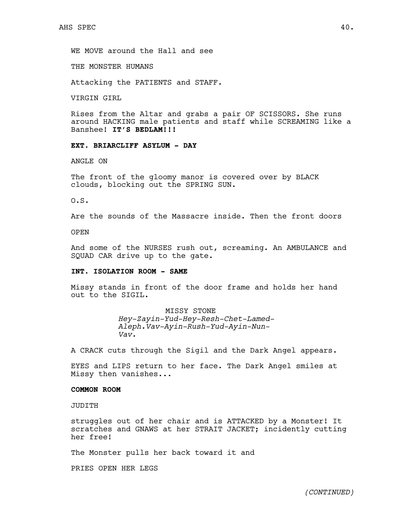WE MOVE around the Hall and see

THE MONSTER HUMANS

Attacking the PATIENTS and STAFF.

VIRGIN GIRL

Rises from the Altar and grabs a pair OF SCISSORS. She runs around HACKING male patients and staff while SCREAMING like a Banshee! **IT'S BEDLAM!!!**

# **EXT. BRIARCLIFF ASYLUM - DAY**

ANGLE ON

The front of the gloomy manor is covered over by BLACK clouds, blocking out the SPRING SUN.

O.S.

Are the sounds of the Massacre inside. Then the front doors

OPEN

And some of the NURSES rush out, screaming. An AMBULANCE and SQUAD CAR drive up to the gate.

# **INT. ISOLATION ROOM - SAME**

Missy stands in front of the door frame and holds her hand out to the SIGIL.

> MISSY STONE *Hey-Zayin-Yud-Hey-Resh-Chet-Lamed-Aleph.Vav-Ayin-Rush-Yud-Ayin-Nun-Vav.*

A CRACK cuts through the Sigil and the Dark Angel appears.

EYES and LIPS return to her face. The Dark Angel smiles at Missy then vanishes...

## **COMMON ROOM**

JUDITH

struggles out of her chair and is ATTACKED by a Monster! It scratches and GNAWS at her STRAIT JACKET; incidently cutting her free!

The Monster pulls her back toward it and

PRIES OPEN HER LEGS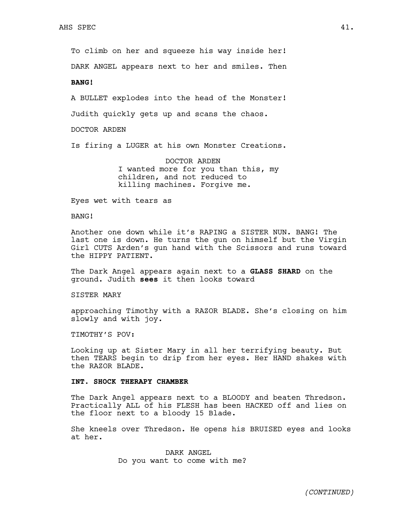To climb on her and squeeze his way inside her!

DARK ANGEL appears next to her and smiles. Then

**BANG!**

A BULLET explodes into the head of the Monster! Judith quickly gets up and scans the chaos.

DOCTOR ARDEN

Is firing a LUGER at his own Monster Creations.

DOCTOR ARDEN I wanted more for you than this, my children, and not reduced to killing machines. Forgive me.

Eyes wet with tears as

BANG!

Another one down while it's RAPING a SISTER NUN. BANG! The last one is down. He turns the gun on himself but the Virgin Girl CUTS Arden's gun hand with the Scissors and runs toward the HIPPY PATIENT.

The Dark Angel appears again next to a **GLASS SHARD** on the ground. Judith **sees** it then looks toward

SISTER MARY

approaching Timothy with a RAZOR BLADE. She's closing on him slowly and with joy.

TIMOTHY'S POV:

Looking up at Sister Mary in all her terrifying beauty. But then TEARS begin to drip from her eyes. Her HAND shakes with the RAZOR BLADE.

## **INT. SHOCK THERAPY CHAMBER**

The Dark Angel appears next to a BLOODY and beaten Thredson. Practically ALL of his FLESH has been HACKED off and lies on the floor next to a bloody 15 Blade.

She kneels over Thredson. He opens his BRUISED eyes and looks at her.

> DARK ANGEL Do you want to come with me?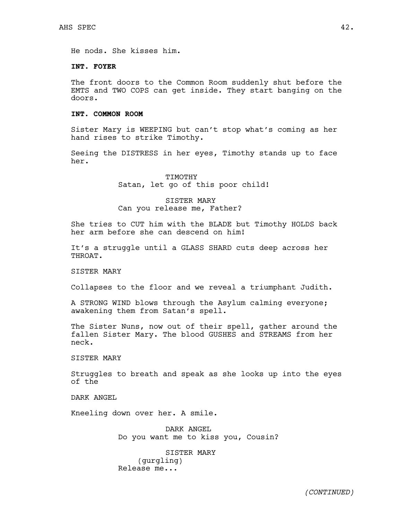He nods. She kisses him.

# **INT. FOYER**

The front doors to the Common Room suddenly shut before the EMTS and TWO COPS can get inside. They start banging on the doors.

# **INT. COMMON ROOM**

Sister Mary is WEEPING but can't stop what's coming as her hand rises to strike Timothy.

Seeing the DISTRESS in her eyes, Timothy stands up to face her.

> TIMOTHY Satan, let go of this poor child!

# SISTER MARY Can you release me, Father?

She tries to CUT him with the BLADE but Timothy HOLDS back her arm before she can descend on him!

It's a struggle until a GLASS SHARD cuts deep across her THROAT.

SISTER MARY

Collapses to the floor and we reveal a triumphant Judith.

A STRONG WIND blows through the Asylum calming everyone; awakening them from Satan's spell.

The Sister Nuns, now out of their spell, gather around the fallen Sister Mary. The blood GUSHES and STREAMS from her neck.

SISTER MARY

Struggles to breath and speak as she looks up into the eyes of the

DARK ANGEL

Kneeling down over her. A smile.

DARK ANGEL Do you want me to kiss you, Cousin?

SISTER MARY (gurgling) Release me...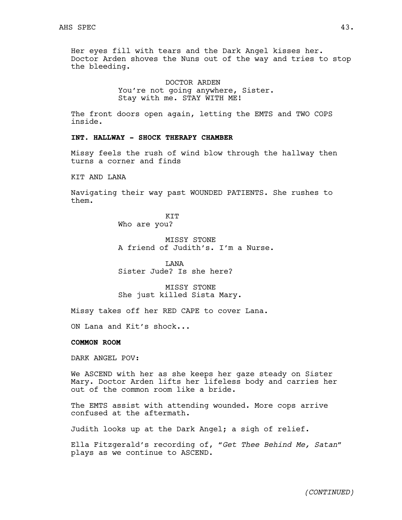Her eyes fill with tears and the Dark Angel kisses her. Doctor Arden shoves the Nuns out of the way and tries to stop the bleeding.

> DOCTOR ARDEN You're not going anywhere, Sister. Stay with me. STAY WITH ME!

The front doors open again, letting the EMTS and TWO COPS inside.

# **INT. HALLWAY - SHOCK THERAPY CHAMBER**

Missy feels the rush of wind blow through the hallway then turns a corner and finds

KIT AND LANA

Navigating their way past WOUNDED PATIENTS. She rushes to them.

> KIT Who are you?

MISSY STONE A friend of Judith's. I'm a Nurse.

LANA Sister Jude? Is she here?

MISSY STONE She just killed Sista Mary.

Missy takes off her RED CAPE to cover Lana.

ON Lana and Kit's shock...

## **COMMON ROOM**

DARK ANGEL POV:

We ASCEND with her as she keeps her gaze steady on Sister Mary. Doctor Arden lifts her lifeless body and carries her out of the common room like a bride.

The EMTS assist with attending wounded. More cops arrive confused at the aftermath.

Judith looks up at the Dark Angel; a sigh of relief.

Ella Fitzgerald's recording of, "*Get Thee Behind Me, Satan"*  plays as we continue to ASCEND.